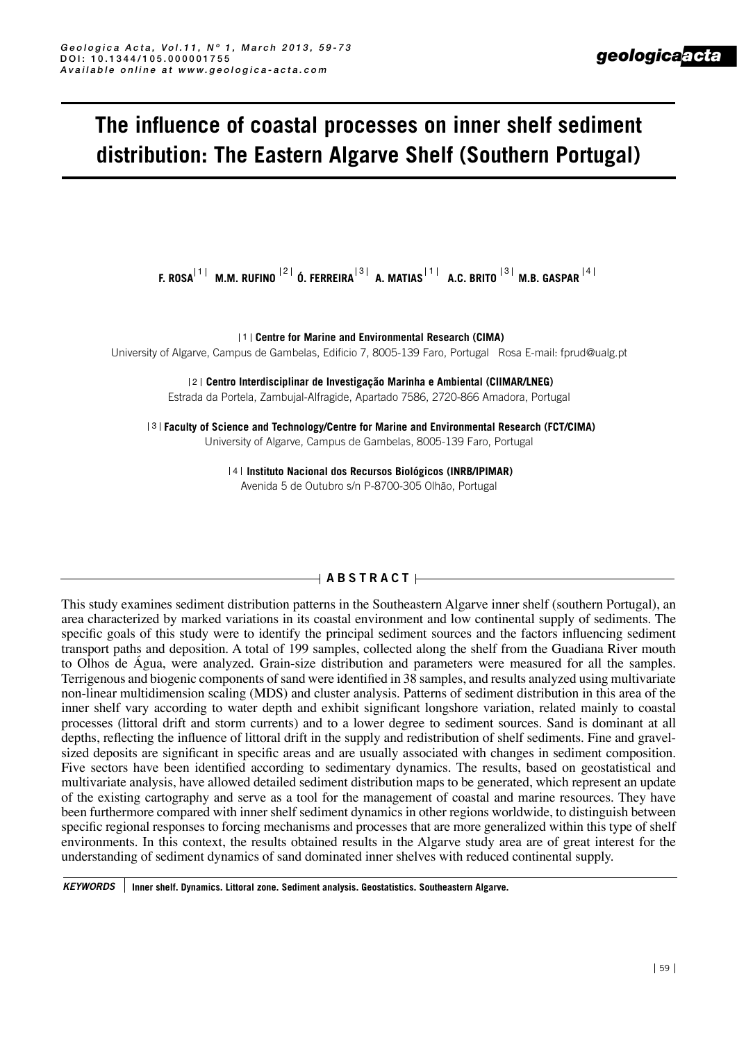# **The influence of coastal processes on inner shelf sediment distribution: The Eastern Algarve Shelf (Southern Portugal)**

F. ROSA<sup>| 1 |</sup> M.M. RUFINO <sup>| 2 |</sup> Ó. FERREIRA <sup>| 3 |</sup> A. MATIAS <sup>| 1 |</sup> A.C. BRITO <sup>| 3 |</sup> M.B. GASPAR <sup>| 4</sup>

**11 Centre for Marine and Environmental Research (CIMA)** 

University of Algarve, Campus de Gambelas, Edificio 7, 8005-139 Faro, Portugal Rosa E-mail: fprud@ualg.pt

 **Centro Interdisciplinar de Investigação Marinha e Ambiental (CIIMAR/LNEG)**  2 Estrada da Portela, Zambujal-Alfragide, Apartado 7586, 2720-866 Amadora, Portugal

**Solut Faculty of Science and Technology/Centre for Marine and Environmental Research (FCT/CIMA)** University of Algarve, Campus de Gambelas, 8005-139 Faro, Portugal

> **Instituto Nacional dos Recursos Biológicos (INRB/IPIMAR)** 4 Avenida 5 de Outubro s/n P-8700-305 Olhão, Portugal

## $\longrightarrow$  A B S T R A C T  $\longleftarrow$

This study examines sediment distribution patterns in the Southeastern Algarve inner shelf (southern Portugal), an area characterized by marked variations in its coastal environment and low continental supply of sediments. The specific goals of this study were to identify the principal sediment sources and the factors influencing sediment transport paths and deposition. A total of 199 samples, collected along the shelf from the Guadiana River mouth to Olhos de Água, were analyzed. Grain-size distribution and parameters were measured for all the samples. Terrigenous and biogenic components of sand were identified in 38 samples, and results analyzed using multivariate non-linear multidimension scaling (MDS) and cluster analysis. Patterns of sediment distribution in this area of the inner shelf vary according to water depth and exhibit significant longshore variation, related mainly to coastal processes (littoral drift and storm currents) and to a lower degree to sediment sources. Sand is dominant at all depths, reflecting the influence of littoral drift in the supply and redistribution of shelf sediments. Fine and gravelsized deposits are significant in specific areas and are usually associated with changes in sediment composition. Five sectors have been identified according to sedimentary dynamics. The results, based on geostatistical and multivariate analysis, have allowed detailed sediment distribution maps to be generated, which represent an update of the existing cartography and serve as a tool for the management of coastal and marine resources. They have been furthermore compared with inner shelf sediment dynamics in other regions worldwide, to distinguish between specific regional responses to forcing mechanisms and processes that are more generalized within this type of shelf environments. In this context, the results obtained results in the Algarve study area are of great interest for the understanding of sediment dynamics of sand dominated inner shelves with reduced continental supply.

*KEYWORDS* **Inner shelf. Dynamics. Littoral zone. Sediment analysis. Geostatistics. Southeastern Algarve.**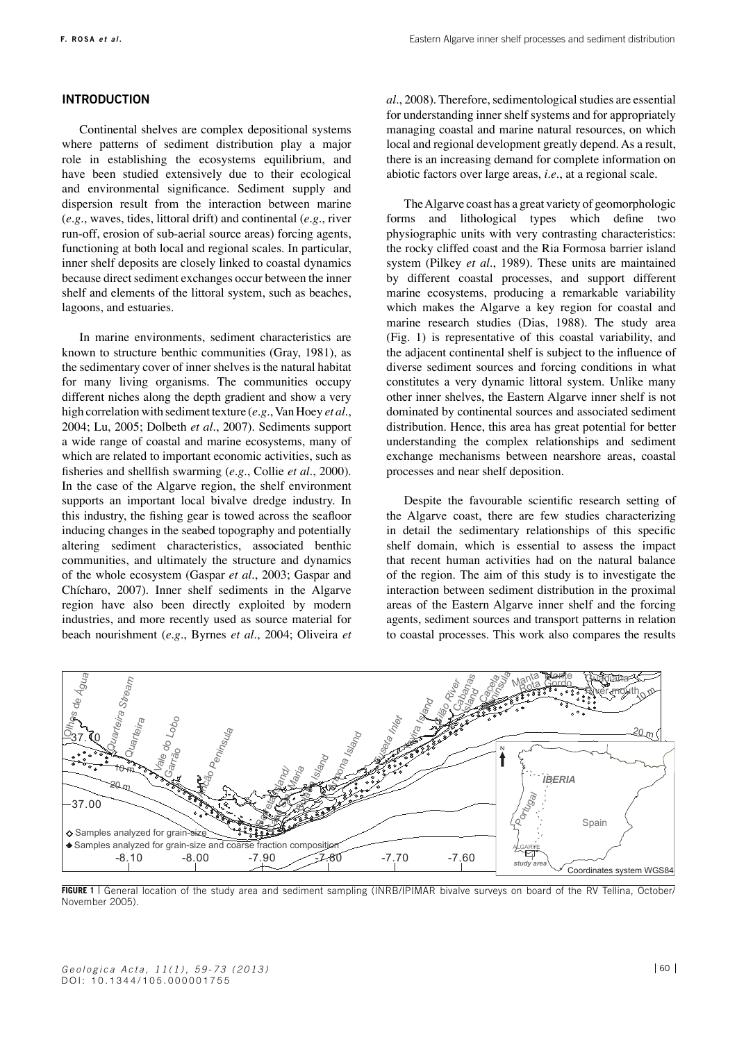#### **Introduction**

Continental shelves are complex depositional systems where patterns of sediment distribution play a major role in establishing the ecosystems equilibrium, and have been studied extensively due to their ecological and environmental significance. Sediment supply and dispersion result from the interaction between marine (*e.g.*, waves, tides, littoral drift) and continental (*e.g.*, river run-off, erosion of sub-aerial source areas) forcing agents, functioning at both local and regional scales. In particular, inner shelf deposits are closely linked to coastal dynamics because direct sediment exchanges occur between the inner shelf and elements of the littoral system, such as beaches, lagoons, and estuaries.

In marine environments, sediment characteristics are known to structure benthic communities (Gray, 1981), as the sedimentary cover of inner shelves is the natural habitat for many living organisms. The communities occupy different niches along the depth gradient and show a very high correlation with sediment texture (*e.g.*, Van Hoey *et al.*, 2004; Lu, 2005; Dolbeth *et al.*, 2007). Sediments support a wide range of coastal and marine ecosystems, many of which are related to important economic activities, such as fisheries and shellfish swarming (*e.g.*, Collie *et al.*, 2000). In the case of the Algarve region, the shelf environment supports an important local bivalve dredge industry. In this industry, the fishing gear is towed across the seafloor inducing changes in the seabed topography and potentially altering sediment characteristics, associated benthic communities, and ultimately the structure and dynamics of the whole ecosystem (Gaspar *et al.*, 2003; Gaspar and Chícharo, 2007). Inner shelf sediments in the Algarve region have also been directly exploited by modern industries, and more recently used as source material for beach nourishment (*e.g.*, Byrnes *et al.*, 2004; Oliveira *et*  *al.*, 2008). Therefore, sedimentological studies are essential for understanding inner shelf systems and for appropriately managing coastal and marine natural resources, on which local and regional development greatly depend. As a result, there is an increasing demand for complete information on abiotic factors over large areas, *i.e.*, at a regional scale.

The Algarve coast has a great variety of geomorphologic forms and lithological types which define two physiographic units with very contrasting characteristics: the rocky cliffed coast and the Ria Formosa barrier island system (Pilkey *et al.*, 1989). These units are maintained by different coastal processes, and support different marine ecosystems, producing a remarkable variability which makes the Algarve a key region for coastal and marine research studies (Dias, 1988). The study area (Fig. 1) is representative of this coastal variability, and the adjacent continental shelf is subject to the influence of diverse sediment sources and forcing conditions in what constitutes a very dynamic littoral system. Unlike many other inner shelves, the Eastern Algarve inner shelf is not dominated by continental sources and associated sediment distribution. Hence, this area has great potential for better understanding the complex relationships and sediment exchange mechanisms between nearshore areas, coastal processes and near shelf deposition.

Despite the favourable scientific research setting of the Algarve coast, there are few studies characterizing in detail the sedimentary relationships of this specific shelf domain, which is essential to assess the impact that recent human activities had on the natural balance of the region. The aim of this study is to investigate the interaction between sediment distribution in the proximal areas of the Eastern Algarve inner shelf and the forcing agents, sediment sources and transport patterns in relation to coastal processes. This work also compares the results



FIGURE 1 | General location of the study area and sediment sampling (INRB/IPIMAR bivalve surveys on board of the RV Tellina, October/ November 2005).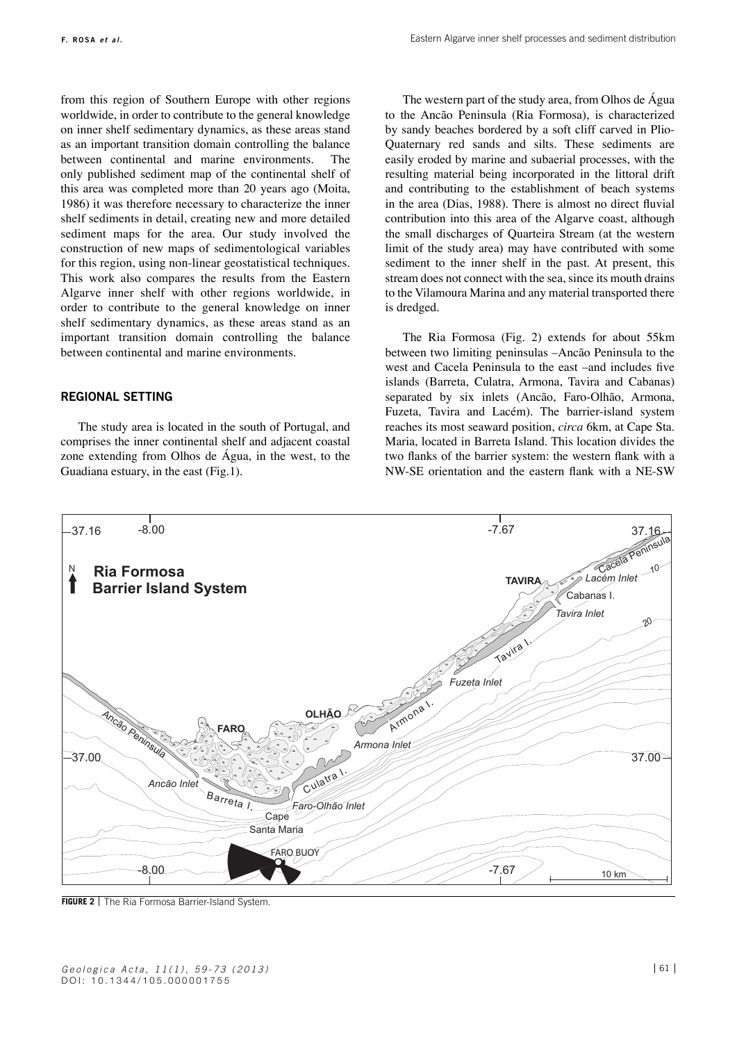from this region of Southern Europe with other regions worldwide, in order to contribute to the general knowledge on inner shelf sedimentary dynamics, as these areas stand as an important transition domain controlling the balance between continental and marine environments. The only published sediment map of the continental shelf of this area was completed more than 20 years ago (Moita, 1986) it was therefore necessary to characterize the inner shelf sediments in detail, creating new and more detailed sediment maps for the area. Our study involved the construction of new maps of sedimentological variables for this region, using non-linear geostatistical techniques. This work also compares the results from the Eastern Algarve inner shelf with other regions worldwide, in order to contribute to the general knowledge on inner shelf sedimentary dynamics, as these areas stand as an important transition domain controlling the balance between continental and marine environments.

## **Regional setting**

The study area is located in the south of Portugal, and comprises the inner continental shelf and adjacent coastal zone extending from Olhos de Água, in the west, to the Guadiana estuary, in the east (Fig.1).

The western part of the study area, from Olhos de Água to the Ancão Peninsula (Ria Formosa), is characterized by sandy beaches bordered by a soft cliff carved in Plio-Quaternary red sands and silts. These sediments are easily eroded by marine and subaerial processes, with the resulting material being incorporated in the littoral drift and contributing to the establishment of beach systems in the area (Dias, 1988). There is almost no direct fluvial contribution into this area of the Algarve coast, although the small discharges of Quarteira Stream (at the western limit of the study area) may have contributed with some sediment to the inner shelf in the past. At present, this stream does not connect with the sea, since its mouth drains to the Vilamoura Marina and any material transported there is dredged.

The Ria Formosa (Fig. 2) extends for about 55km between two limiting peninsulas –Ancão Peninsula to the west and Cacela Peninsula to the east –and includes five islands (Barreta, Culatra, Armona, Tavira and Cabanas) separated by six inlets (Ancão, Faro-Olhão, Armona, Fuzeta, Tavira and Lacém). The barrier-island system reaches its most seaward position, *circa* 6km, at Cape Sta. Maria, located in Barreta Island. This location divides the two flanks of the barrier system: the western flank with a NW-SE orientation and the eastern flank with a NE-SW



**FIGURE 2** | The Ria Formosa Barrier-Island System.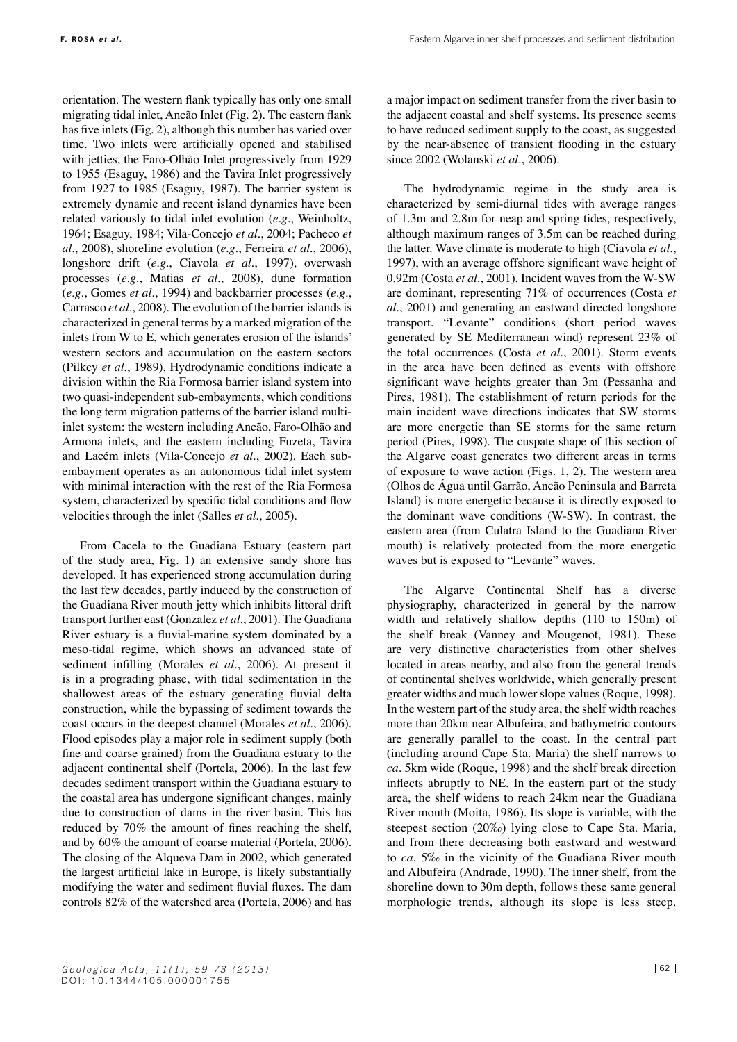orientation. The western flank typically has only one small migrating tidal inlet, Ancão Inlet (Fig. 2). The eastern flank has five inlets (Fig. 2), although this number has varied over time. Two inlets were artificially opened and stabilised with jetties, the Faro-Olhão Inlet progressively from 1929 to 1955 (Esaguy, 1986) and the Tavira Inlet progressively from 1927 to 1985 (Esaguy, 1987). The barrier system is extremely dynamic and recent island dynamics have been related variously to tidal inlet evolution (*e.g.*, Weinholtz, 1964; Esaguy, 1984; Vila-Concejo *et al.*, 2004; Pacheco *et al.*, 2008), shoreline evolution (*e.g.*, Ferreira *et al.*, 2006), longshore drift (*e.g.*, Ciavola *et al.*, 1997), overwash processes (*e.g.*, Matias *et al.*, 2008), dune formation (*e.g.*, Gomes *et al.*, 1994) and backbarrier processes (*e.g.*, Carrasco *et al.*, 2008). The evolution of the barrier islands is characterized in general terms by a marked migration of the inlets from W to E, which generates erosion of the islands' western sectors and accumulation on the eastern sectors (Pilkey *et al.*, 1989). Hydrodynamic conditions indicate a division within the Ria Formosa barrier island system into two quasi-independent sub-embayments, which conditions the long term migration patterns of the barrier island multiinlet system: the western including Ancão, Faro-Olhão and Armona inlets, and the eastern including Fuzeta, Tavira and Lacém inlets (Vila-Concejo *et al.*, 2002). Each subembayment operates as an autonomous tidal inlet system with minimal interaction with the rest of the Ria Formosa system, characterized by specific tidal conditions and flow velocities through the inlet (Salles *et al.*, 2005).

From Cacela to the Guadiana Estuary (eastern part of the study area, Fig. 1) an extensive sandy shore has developed. It has experienced strong accumulation during the last few decades, partly induced by the construction of the Guadiana River mouth jetty which inhibits littoral drift transport further east (Gonzalez *et al.*, 2001). The Guadiana River estuary is a fluvial-marine system dominated by a meso-tidal regime, which shows an advanced state of sediment infilling (Morales *et al.*, 2006). At present it is in a prograding phase, with tidal sedimentation in the shallowest areas of the estuary generating fluvial delta construction, while the bypassing of sediment towards the coast occurs in the deepest channel (Morales *et al.*, 2006). Flood episodes play a major role in sediment supply (both fine and coarse grained) from the Guadiana estuary to the adjacent continental shelf (Portela, 2006). In the last few decades sediment transport within the Guadiana estuary to the coastal area has undergone significant changes, mainly due to construction of dams in the river basin. This has reduced by 70% the amount of fines reaching the shelf, and by 60% the amount of coarse material (Portela, 2006). The closing of the Alqueva Dam in 2002, which generated the largest artificial lake in Europe, is likely substantially modifying the water and sediment fluvial fluxes. The dam controls 82% of the watershed area (Portela, 2006) and has

a major impact on sediment transfer from the river basin to the adjacent coastal and shelf systems. Its presence seems to have reduced sediment supply to the coast, as suggested by the near-absence of transient flooding in the estuary since 2002 (Wolanski *et al.*, 2006).

The hydrodynamic regime in the study area is characterized by semi-diurnal tides with average ranges of 1.3m and 2.8m for neap and spring tides, respectively, although maximum ranges of 3.5m can be reached during the latter. Wave climate is moderate to high (Ciavola *et al.*, 1997), with an average offshore significant wave height of 0.92m (Costa *et al.*, 2001). Incident waves from the W-SW are dominant, representing 71% of occurrences (Costa *et al.*, 2001) and generating an eastward directed longshore transport. "Levante" conditions (short period waves generated by SE Mediterranean wind) represent 23% of the total occurrences (Costa *et al.*, 2001). Storm events in the area have been defined as events with offshore significant wave heights greater than 3m (Pessanha and Pires, 1981). The establishment of return periods for the main incident wave directions indicates that SW storms are more energetic than SE storms for the same return period (Pires, 1998). The cuspate shape of this section of the Algarve coast generates two different areas in terms of exposure to wave action (Figs. 1, 2). The western area (Olhos de Água until Garrão, Ancão Peninsula and Barreta Island) is more energetic because it is directly exposed to the dominant wave conditions (W-SW). In contrast, the eastern area (from Culatra Island to the Guadiana River mouth) is relatively protected from the more energetic waves but is exposed to "Levante" waves.

The Algarve Continental Shelf has a diverse physiography, characterized in general by the narrow width and relatively shallow depths (110 to 150m) of the shelf break (Vanney and Mougenot, 1981). These are very distinctive characteristics from other shelves located in areas nearby, and also from the general trends of continental shelves worldwide, which generally present greater widths and much lower slope values (Roque, 1998). In the western part of the study area, the shelf width reaches more than 20km near Albufeira, and bathymetric contours are generally parallel to the coast. In the central part (including around Cape Sta. Maria) the shelf narrows to *ca.* 5km wide (Roque, 1998) and the shelf break direction inflects abruptly to NE. In the eastern part of the study area, the shelf widens to reach 24km near the Guadiana River mouth (Moita, 1986). Its slope is variable, with the steepest section (20‰) lying close to Cape Sta. Maria, and from there decreasing both eastward and westward to *ca.* 5‰ in the vicinity of the Guadiana River mouth and Albufeira (Andrade, 1990). The inner shelf, from the shoreline down to 30m depth, follows these same general morphologic trends, although its slope is less steep.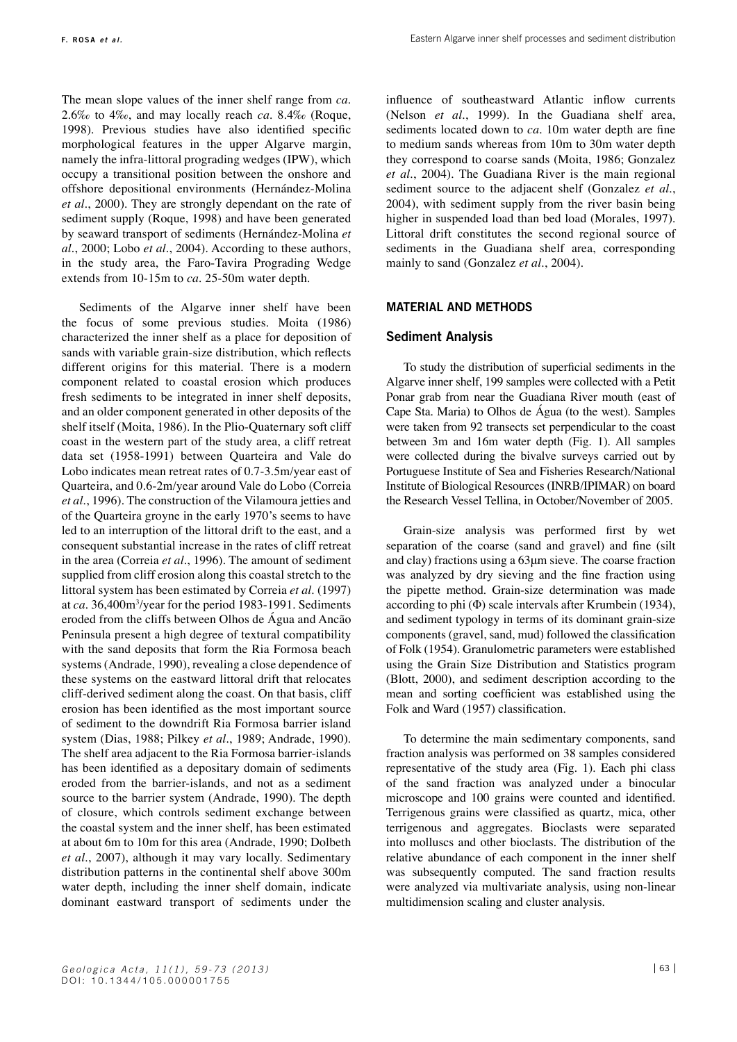The mean slope values of the inner shelf range from *ca.* 2.6‰ to 4‰, and may locally reach *ca.* 8.4‰ (Roque, 1998). Previous studies have also identified specific morphological features in the upper Algarve margin, namely the infra-littoral prograding wedges (IPW), which occupy a transitional position between the onshore and offshore depositional environments (Hernández-Molina *et al.*, 2000). They are strongly dependant on the rate of sediment supply (Roque, 1998) and have been generated by seaward transport of sediments (Hernández-Molina *et al.*, 2000; Lobo *et al.*, 2004). According to these authors, in the study area, the Faro-Tavira Prograding Wedge extends from 10-15m to *ca.* 25-50m water depth.

Sediments of the Algarve inner shelf have been the focus of some previous studies. Moita (1986) characterized the inner shelf as a place for deposition of sands with variable grain-size distribution, which reflects different origins for this material. There is a modern component related to coastal erosion which produces fresh sediments to be integrated in inner shelf deposits, and an older component generated in other deposits of the shelf itself (Moita, 1986). In the Plio-Quaternary soft cliff coast in the western part of the study area, a cliff retreat data set (1958-1991) between Quarteira and Vale do Lobo indicates mean retreat rates of 0.7-3.5m/year east of Quarteira, and 0.6-2m/year around Vale do Lobo (Correia *et al.*, 1996). The construction of the Vilamoura jetties and of the Quarteira groyne in the early 1970's seems to have led to an interruption of the littoral drift to the east, and a consequent substantial increase in the rates of cliff retreat in the area (Correia *et al.*, 1996). The amount of sediment supplied from cliff erosion along this coastal stretch to the littoral system has been estimated by Correia *et al.* (1997) at *ca.* 36,400m3 /year for the period 1983-1991. Sediments eroded from the cliffs between Olhos de Água and Ancão Peninsula present a high degree of textural compatibility with the sand deposits that form the Ria Formosa beach systems (Andrade, 1990), revealing a close dependence of these systems on the eastward littoral drift that relocates cliff-derived sediment along the coast. On that basis, cliff erosion has been identified as the most important source of sediment to the downdrift Ria Formosa barrier island system (Dias, 1988; Pilkey *et al.*, 1989; Andrade, 1990). The shelf area adjacent to the Ria Formosa barrier-islands has been identified as a depositary domain of sediments eroded from the barrier-islands, and not as a sediment source to the barrier system (Andrade, 1990). The depth of closure, which controls sediment exchange between the coastal system and the inner shelf, has been estimated at about 6m to 10m for this area (Andrade, 1990; Dolbeth *et al.*, 2007), although it may vary locally. Sedimentary distribution patterns in the continental shelf above 300m water depth, including the inner shelf domain, indicate dominant eastward transport of sediments under the

influence of southeastward Atlantic inflow currents (Nelson *et al.*, 1999). In the Guadiana shelf area, sediments located down to *ca.* 10m water depth are fine to medium sands whereas from 10m to 30m water depth they correspond to coarse sands (Moita, 1986; Gonzalez *et al.*, 2004). The Guadiana River is the main regional sediment source to the adjacent shelf (Gonzalez *et al.*, 2004), with sediment supply from the river basin being higher in suspended load than bed load (Morales, 1997). Littoral drift constitutes the second regional source of sediments in the Guadiana shelf area, corresponding mainly to sand (Gonzalez *et al.*, 2004).

## **Material and methods**

#### **Sediment Analysis**

To study the distribution of superficial sediments in the Algarve inner shelf, 199 samples were collected with a Petit Ponar grab from near the Guadiana River mouth (east of Cape Sta. Maria) to Olhos de Água (to the west). Samples were taken from 92 transects set perpendicular to the coast between 3m and 16m water depth (Fig. 1). All samples were collected during the bivalve surveys carried out by Portuguese Institute of Sea and Fisheries Research/National Institute of Biological Resources (INRB/IPIMAR) on board the Research Vessel Tellina, in October/November of 2005.

Grain-size analysis was performed first by wet separation of the coarse (sand and gravel) and fine (silt and clay) fractions using a 63μm sieve. The coarse fraction was analyzed by dry sieving and the fine fraction using the pipette method. Grain-size determination was made according to phi (Φ) scale intervals after Krumbein (1934), and sediment typology in terms of its dominant grain-size components (gravel, sand, mud) followed the classification of Folk (1954). Granulometric parameters were established using the Grain Size Distribution and Statistics program (Blott, 2000), and sediment description according to the mean and sorting coefficient was established using the Folk and Ward (1957) classification.

To determine the main sedimentary components, sand fraction analysis was performed on 38 samples considered representative of the study area (Fig. 1). Each phi class of the sand fraction was analyzed under a binocular microscope and 100 grains were counted and identified. Terrigenous grains were classified as quartz, mica, other terrigenous and aggregates. Bioclasts were separated into molluscs and other bioclasts. The distribution of the relative abundance of each component in the inner shelf was subsequently computed. The sand fraction results were analyzed via multivariate analysis, using non-linear multidimension scaling and cluster analysis.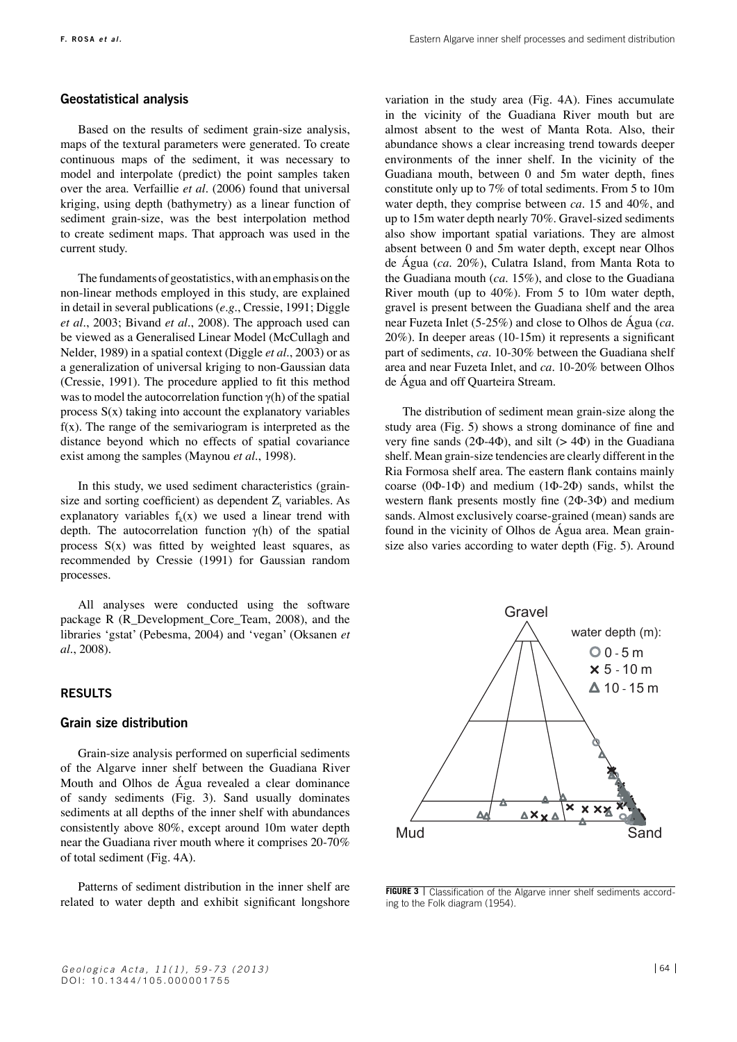#### **Geostatistical analysis**

Based on the results of sediment grain-size analysis, maps of the textural parameters were generated. To create continuous maps of the sediment, it was necessary to model and interpolate (predict) the point samples taken over the area. Verfaillie *et al.* (2006) found that universal kriging, using depth (bathymetry) as a linear function of sediment grain-size, was the best interpolation method to create sediment maps. That approach was used in the current study.

The fundaments of geostatistics, with an emphasis on the non-linear methods employed in this study, are explained in detail in several publications (*e.g.*, Cressie, 1991; Diggle *et al.*, 2003; Bivand *et al.*, 2008). The approach used can be viewed as a Generalised Linear Model (McCullagh and Nelder, 1989) in a spatial context (Diggle *et al.*, 2003) or as a generalization of universal kriging to non-Gaussian data (Cressie, 1991). The procedure applied to fit this method was to model the autocorrelation function  $\gamma(h)$  of the spatial process  $S(x)$  taking into account the explanatory variables  $f(x)$ . The range of the semivariogram is interpreted as the distance beyond which no effects of spatial covariance exist among the samples (Maynou *et al.*, 1998).

In this study, we used sediment characteristics (grainsize and sorting coefficient) as dependent  $Z_i$  variables. As explanatory variables  $f_k(x)$  we used a linear trend with depth. The autocorrelation function  $\gamma(h)$  of the spatial process  $S(x)$  was fitted by weighted least squares, as recommended by Cressie (1991) for Gaussian random processes.

All analyses were conducted using the software package R (R\_Development\_Core\_Team, 2008), and the libraries 'gstat' (Pebesma, 2004) and 'vegan' (Oksanen *et al.*, 2008).

## **RESULTS**

## **Grain size distribution**

Grain-size analysis performed on superficial sediments of the Algarve inner shelf between the Guadiana River Mouth and Olhos de Água revealed a clear dominance of sandy sediments (Fig. 3). Sand usually dominates sediments at all depths of the inner shelf with abundances consistently above 80%, except around 10m water depth near the Guadiana river mouth where it comprises 20-70% of total sediment (Fig. 4A).

Patterns of sediment distribution in the inner shelf are related to water depth and exhibit significant longshore

variation in the study area (Fig. 4A). Fines accumulate in the vicinity of the Guadiana River mouth but are almost absent to the west of Manta Rota. Also, their abundance shows a clear increasing trend towards deeper environments of the inner shelf. In the vicinity of the Guadiana mouth, between 0 and 5m water depth, fines constitute only up to 7% of total sediments. From 5 to 10m water depth, they comprise between *ca.* 15 and 40%, and up to 15m water depth nearly 70%. Gravel-sized sediments also show important spatial variations. They are almost absent between 0 and 5m water depth, except near Olhos de Água (*ca.* 20%), Culatra Island, from Manta Rota to the Guadiana mouth (*ca.* 15%), and close to the Guadiana River mouth (up to 40%). From 5 to 10m water depth, gravel is present between the Guadiana shelf and the area near Fuzeta Inlet (5-25%) and close to Olhos de Água (*ca.* 20%). In deeper areas (10-15m) it represents a significant part of sediments, *ca.* 10-30% between the Guadiana shelf area and near Fuzeta Inlet, and *ca.* 10-20% between Olhos de Água and off Quarteira Stream.

The distribution of sediment mean grain-size along the study area (Fig. 5) shows a strong dominance of fine and very fine sands ( $2\Phi$ -4 $\Phi$ ), and silt (>4 $\Phi$ ) in the Guadiana shelf. Mean grain-size tendencies are clearly different in the Ria Formosa shelf area. The eastern flank contains mainly coarse (0Φ-1Φ) and medium (1Φ-2Φ) sands, whilst the western flank presents mostly fine (2Φ-3Φ) and medium sands. Almost exclusively coarse-grained (mean) sands are found in the vicinity of Olhos de Água area. Mean grainsize also varies according to water depth (Fig. 5). Around



**FIGURE 3** | Classification of the Algarve inner shelf sediments according to the Folk diagram (1954).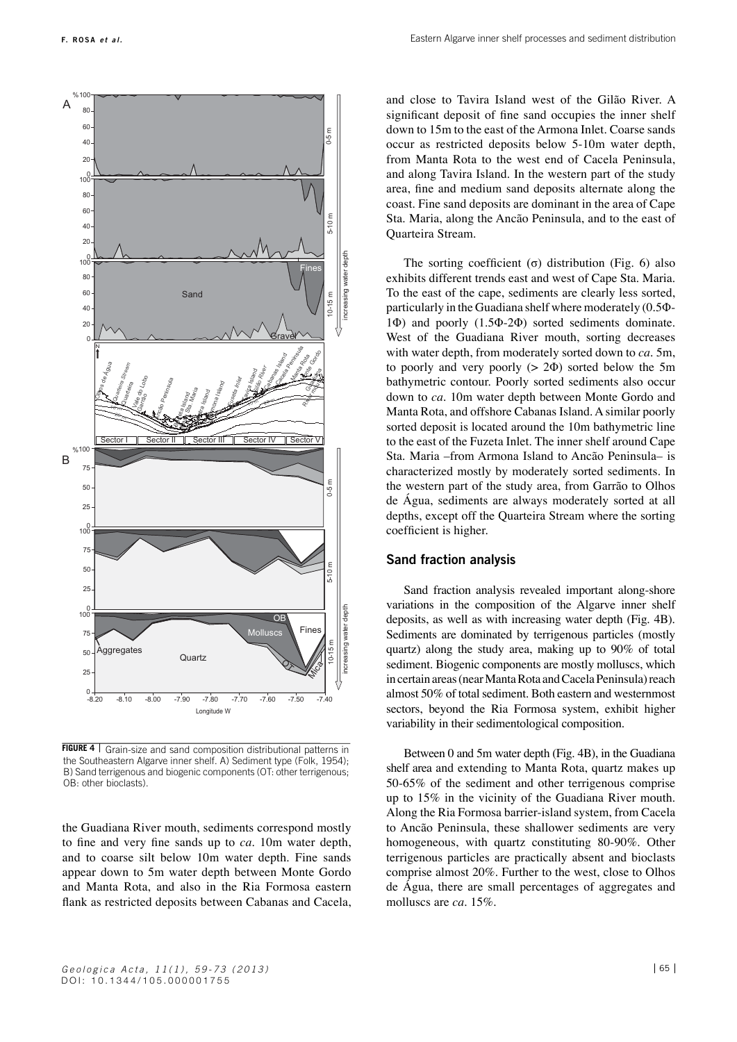**F. R O S A** *e t a l .* Eastern Algarve inner shelf processes and sediment distribution



**FIGURE 4** | Grain-size and sand composition distributional patterns in the Southeastern Algarve inner shelf. A) Sediment type (Folk, 1954); B) Sand terrigenous and biogenic components (OT: other terrigenous; OB: other bioclasts).

the Guadiana River mouth, sediments correspond mostly to fine and very fine sands up to *ca.* 10m water depth, and to coarse silt below 10m water depth. Fine sands appear down to 5m water depth between Monte Gordo and Manta Rota, and also in the Ria Formosa eastern flank as restricted deposits between Cabanas and Cacela, and close to Tavira Island west of the Gilão River. A significant deposit of fine sand occupies the inner shelf down to 15m to the east of the Armona Inlet. Coarse sands occur as restricted deposits below 5-10m water depth, from Manta Rota to the west end of Cacela Peninsula, and along Tavira Island. In the western part of the study area, fine and medium sand deposits alternate along the coast. Fine sand deposits are dominant in the area of Cape Sta. Maria, along the Ancão Peninsula, and to the east of Quarteira Stream.

The sorting coefficient  $(\sigma)$  distribution (Fig. 6) also exhibits different trends east and west of Cape Sta. Maria. To the east of the cape, sediments are clearly less sorted, particularly in the Guadiana shelf where moderately (0.5Φ-1Φ) and poorly (1.5Φ-2Φ) sorted sediments dominate. West of the Guadiana River mouth, sorting decreases with water depth, from moderately sorted down to *ca.* 5m, to poorly and very poorly (> 2Φ) sorted below the 5m bathymetric contour. Poorly sorted sediments also occur down to *ca.* 10m water depth between Monte Gordo and Manta Rota, and offshore Cabanas Island. A similar poorly sorted deposit is located around the 10m bathymetric line to the east of the Fuzeta Inlet. The inner shelf around Cape Sta. Maria –from Armona Island to Ancão Peninsula– is characterized mostly by moderately sorted sediments. In the western part of the study area, from Garrão to Olhos de Água, sediments are always moderately sorted at all depths, except off the Quarteira Stream where the sorting coefficient is higher.

#### **Sand fraction analysis**

Sand fraction analysis revealed important along-shore variations in the composition of the Algarve inner shelf deposits, as well as with increasing water depth (Fig. 4B). Sediments are dominated by terrigenous particles (mostly quartz) along the study area, making up to 90% of total sediment. Biogenic components are mostly molluscs, which in certain areas (near Manta Rota and Cacela Peninsula) reach almost 50% of total sediment. Both eastern and westernmost sectors, beyond the Ria Formosa system, exhibit higher variability in their sedimentological composition.

Between 0 and 5m water depth (Fig. 4B), in the Guadiana shelf area and extending to Manta Rota, quartz makes up 50-65% of the sediment and other terrigenous comprise up to 15% in the vicinity of the Guadiana River mouth. Along the Ria Formosa barrier-island system, from Cacela to Ancão Peninsula, these shallower sediments are very homogeneous, with quartz constituting 80-90%. Other terrigenous particles are practically absent and bioclasts comprise almost 20%. Further to the west, close to Olhos de Água, there are small percentages of aggregates and molluscs are *ca.* 15%.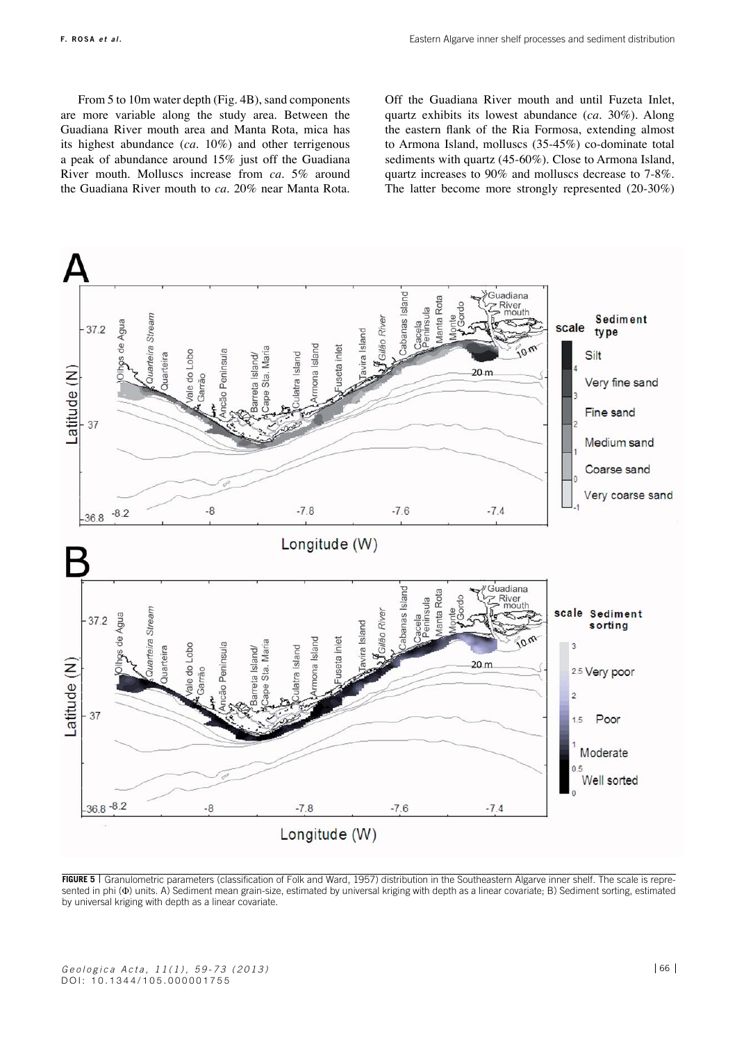From 5 to 10m water depth (Fig. 4B), sand components are more variable along the study area. Between the Guadiana River mouth area and Manta Rota, mica has its highest abundance (*ca.* 10%) and other terrigenous a peak of abundance around 15% just off the Guadiana River mouth. Molluscs increase from *ca.* 5% around the Guadiana River mouth to *ca.* 20% near Manta Rota.

Off the Guadiana River mouth and until Fuzeta Inlet, quartz exhibits its lowest abundance (*ca.* 30%). Along the eastern flank of the Ria Formosa, extending almost to Armona Island, molluscs (35-45%) co-dominate total sediments with quartz (45-60%). Close to Armona Island, quartz increases to 90% and molluscs decrease to 7-8%. The latter become more strongly represented (20-30%)



FIGURE 5 | Granulometric parameters (classification of Folk and Ward, 1957) distribution in the Southeastern Algarve inner shelf. The scale is represented in phi (Φ) units. A) Sediment mean grain-size, estimated by universal kriging with depth as a linear covariate; B) Sediment sorting, estimated by universal kriging with depth as a linear covariate.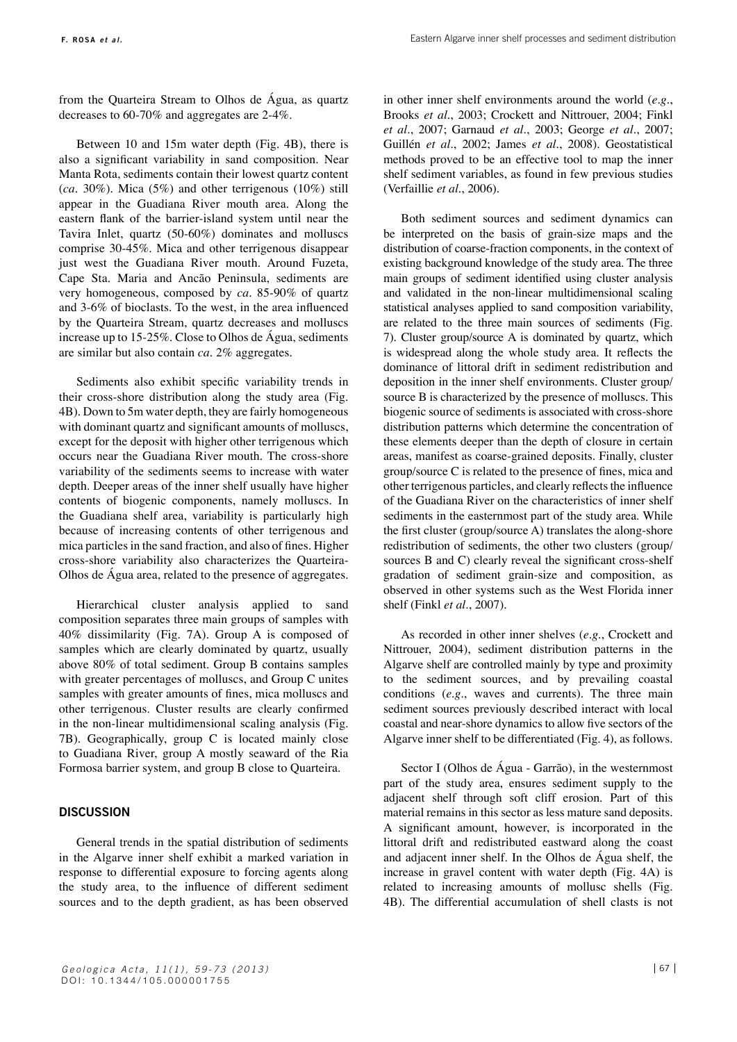from the Quarteira Stream to Olhos de Água, as quartz decreases to 60-70% and aggregates are 2-4%.

Between 10 and 15m water depth (Fig. 4B), there is also a significant variability in sand composition. Near Manta Rota, sediments contain their lowest quartz content (*ca.* 30%). Mica (5%) and other terrigenous (10%) still appear in the Guadiana River mouth area. Along the eastern flank of the barrier-island system until near the Tavira Inlet, quartz (50-60%) dominates and molluscs comprise 30-45%. Mica and other terrigenous disappear just west the Guadiana River mouth. Around Fuzeta, Cape Sta. Maria and Ancão Peninsula, sediments are very homogeneous, composed by *ca.* 85-90% of quartz and 3-6% of bioclasts. To the west, in the area influenced by the Quarteira Stream, quartz decreases and molluscs increase up to 15-25%. Close to Olhos de Água, sediments are similar but also contain *ca.* 2% aggregates.

Sediments also exhibit specific variability trends in their cross-shore distribution along the study area (Fig. 4B). Down to 5m water depth, they are fairly homogeneous with dominant quartz and significant amounts of molluscs, except for the deposit with higher other terrigenous which occurs near the Guadiana River mouth. The cross-shore variability of the sediments seems to increase with water depth. Deeper areas of the inner shelf usually have higher contents of biogenic components, namely molluscs. In the Guadiana shelf area, variability is particularly high because of increasing contents of other terrigenous and mica particles in the sand fraction, and also of fines. Higher cross-shore variability also characterizes the Quarteira-Olhos de Água area, related to the presence of aggregates.

Hierarchical cluster analysis applied to sand composition separates three main groups of samples with 40% dissimilarity (Fig. 7A). Group A is composed of samples which are clearly dominated by quartz, usually above 80% of total sediment. Group B contains samples with greater percentages of molluscs, and Group C unites samples with greater amounts of fines, mica molluscs and other terrigenous. Cluster results are clearly confirmed in the non-linear multidimensional scaling analysis (Fig. 7B). Geographically, group C is located mainly close to Guadiana River, group A mostly seaward of the Ria Formosa barrier system, and group B close to Quarteira.

#### **DISCUSSION**

General trends in the spatial distribution of sediments in the Algarve inner shelf exhibit a marked variation in response to differential exposure to forcing agents along the study area, to the influence of different sediment sources and to the depth gradient, as has been observed in other inner shelf environments around the world (*e.g.*, Brooks *et al.*, 2003; Crockett and Nittrouer, 2004; Finkl *et al.*, 2007; Garnaud *et al.*, 2003; George *et al.*, 2007; Guillén *et al.*, 2002; James *et al.*, 2008). Geostatistical methods proved to be an effective tool to map the inner shelf sediment variables, as found in few previous studies (Verfaillie *et al.*, 2006).

Both sediment sources and sediment dynamics can be interpreted on the basis of grain-size maps and the distribution of coarse-fraction components, in the context of existing background knowledge of the study area. The three main groups of sediment identified using cluster analysis and validated in the non-linear multidimensional scaling statistical analyses applied to sand composition variability, are related to the three main sources of sediments (Fig. 7). Cluster group/source A is dominated by quartz, which is widespread along the whole study area. It reflects the dominance of littoral drift in sediment redistribution and deposition in the inner shelf environments. Cluster group/ source B is characterized by the presence of molluscs. This biogenic source of sediments is associated with cross-shore distribution patterns which determine the concentration of these elements deeper than the depth of closure in certain areas, manifest as coarse-grained deposits. Finally, cluster group/source C is related to the presence of fines, mica and other terrigenous particles, and clearly reflects the influence of the Guadiana River on the characteristics of inner shelf sediments in the easternmost part of the study area. While the first cluster (group/source A) translates the along-shore redistribution of sediments, the other two clusters (group/ sources B and C) clearly reveal the significant cross-shelf gradation of sediment grain-size and composition, as observed in other systems such as the West Florida inner shelf (Finkl *et al.*, 2007).

As recorded in other inner shelves (*e.g.*, Crockett and Nittrouer, 2004), sediment distribution patterns in the Algarve shelf are controlled mainly by type and proximity to the sediment sources, and by prevailing coastal conditions (*e.g.*, waves and currents). The three main sediment sources previously described interact with local coastal and near-shore dynamics to allow five sectors of the Algarve inner shelf to be differentiated (Fig. 4), as follows.

Sector I (Olhos de Água - Garrão), in the westernmost part of the study area, ensures sediment supply to the adjacent shelf through soft cliff erosion. Part of this material remains in this sector as less mature sand deposits. A significant amount, however, is incorporated in the littoral drift and redistributed eastward along the coast and adjacent inner shelf. In the Olhos de Água shelf, the increase in gravel content with water depth (Fig. 4A) is related to increasing amounts of mollusc shells (Fig. 4B). The differential accumulation of shell clasts is not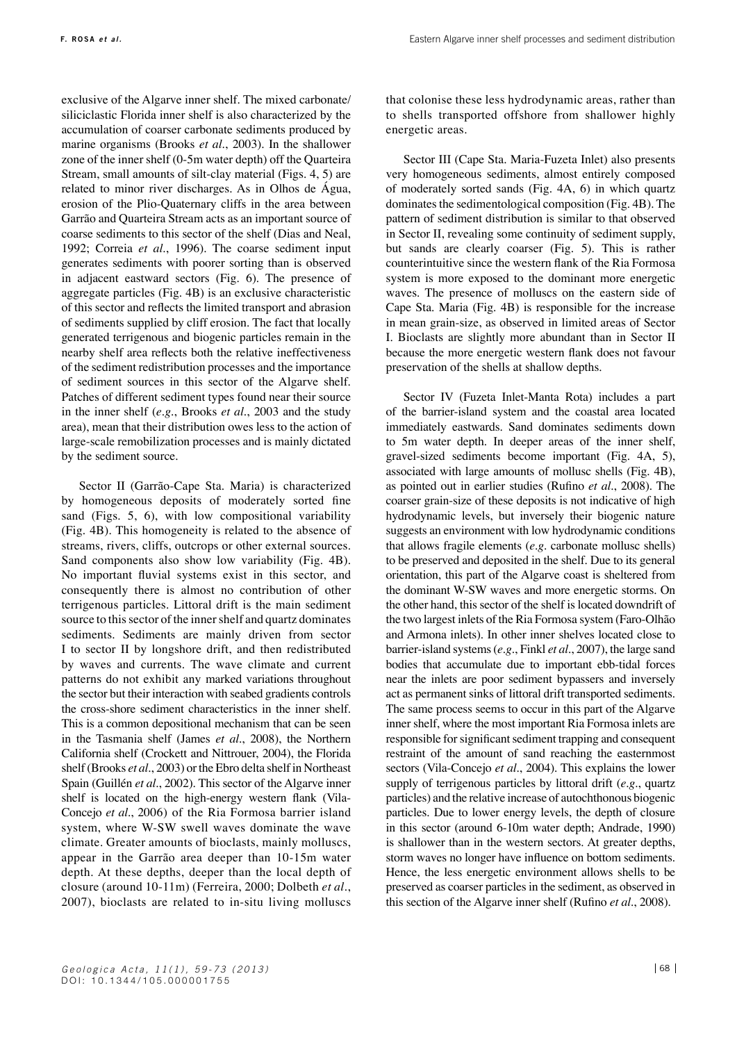exclusive of the Algarve inner shelf. The mixed carbonate/ siliciclastic Florida inner shelf is also characterized by the accumulation of coarser carbonate sediments produced by marine organisms (Brooks *et al.*, 2003). In the shallower zone of the inner shelf (0-5m water depth) off the Quarteira Stream, small amounts of silt-clay material (Figs. 4, 5) are related to minor river discharges. As in Olhos de Água, erosion of the Plio-Quaternary cliffs in the area between Garrão and Quarteira Stream acts as an important source of coarse sediments to this sector of the shelf (Dias and Neal, 1992; Correia *et al.*, 1996). The coarse sediment input generates sediments with poorer sorting than is observed in adjacent eastward sectors (Fig. 6). The presence of aggregate particles (Fig. 4B) is an exclusive characteristic of this sector and reflects the limited transport and abrasion of sediments supplied by cliff erosion. The fact that locally generated terrigenous and biogenic particles remain in the nearby shelf area reflects both the relative ineffectiveness of the sediment redistribution processes and the importance of sediment sources in this sector of the Algarve shelf. Patches of different sediment types found near their source in the inner shelf (*e.g.*, Brooks *et al.*, 2003 and the study area), mean that their distribution owes less to the action of large-scale remobilization processes and is mainly dictated by the sediment source.

Sector II (Garrão-Cape Sta. Maria) is characterized by homogeneous deposits of moderately sorted fine sand (Figs. 5, 6), with low compositional variability (Fig. 4B). This homogeneity is related to the absence of streams, rivers, cliffs, outcrops or other external sources. Sand components also show low variability (Fig. 4B). No important fluvial systems exist in this sector, and consequently there is almost no contribution of other terrigenous particles. Littoral drift is the main sediment source to this sector of the inner shelf and quartz dominates sediments. Sediments are mainly driven from sector I to sector II by longshore drift, and then redistributed by waves and currents. The wave climate and current patterns do not exhibit any marked variations throughout the sector but their interaction with seabed gradients controls the cross-shore sediment characteristics in the inner shelf. This is a common depositional mechanism that can be seen in the Tasmania shelf (James *et al.*, 2008), the Northern California shelf (Crockett and Nittrouer, 2004), the Florida shelf (Brooks *et al.*, 2003) or the Ebro delta shelf in Northeast Spain (Guillén *et al.*, 2002). This sector of the Algarve inner shelf is located on the high-energy western flank (Vila-Concejo *et al.*, 2006) of the Ria Formosa barrier island system, where W-SW swell waves dominate the wave climate. Greater amounts of bioclasts, mainly molluscs, appear in the Garrão area deeper than 10-15m water depth. At these depths, deeper than the local depth of closure (around 10-11m) (Ferreira, 2000; Dolbeth *et al.*, 2007), bioclasts are related to in-situ living molluscs

that colonise these less hydrodynamic areas, rather than to shells transported offshore from shallower highly energetic areas.

Sector III (Cape Sta. Maria-Fuzeta Inlet) also presents very homogeneous sediments, almost entirely composed of moderately sorted sands (Fig. 4A, 6) in which quartz dominates the sedimentological composition (Fig. 4B). The pattern of sediment distribution is similar to that observed in Sector II, revealing some continuity of sediment supply, but sands are clearly coarser (Fig. 5). This is rather counterintuitive since the western flank of the Ria Formosa system is more exposed to the dominant more energetic waves. The presence of molluscs on the eastern side of Cape Sta. Maria (Fig. 4B) is responsible for the increase in mean grain-size, as observed in limited areas of Sector I. Bioclasts are slightly more abundant than in Sector II because the more energetic western flank does not favour preservation of the shells at shallow depths.

Sector IV (Fuzeta Inlet-Manta Rota) includes a part of the barrier-island system and the coastal area located immediately eastwards. Sand dominates sediments down to 5m water depth. In deeper areas of the inner shelf, gravel-sized sediments become important (Fig. 4A, 5), associated with large amounts of mollusc shells (Fig. 4B), as pointed out in earlier studies (Rufino *et al.*, 2008). The coarser grain-size of these deposits is not indicative of high hydrodynamic levels, but inversely their biogenic nature suggests an environment with low hydrodynamic conditions that allows fragile elements (*e.g.* carbonate mollusc shells) to be preserved and deposited in the shelf. Due to its general orientation, this part of the Algarve coast is sheltered from the dominant W-SW waves and more energetic storms. On the other hand, this sector of the shelf is located downdrift of the two largest inlets of the Ria Formosa system (Faro-Olhão and Armona inlets). In other inner shelves located close to barrier-island systems (*e.g.*, Finkl *et al.*, 2007), the large sand bodies that accumulate due to important ebb-tidal forces near the inlets are poor sediment bypassers and inversely act as permanent sinks of littoral drift transported sediments. The same process seems to occur in this part of the Algarve inner shelf, where the most important Ria Formosa inlets are responsible for significant sediment trapping and consequent restraint of the amount of sand reaching the easternmost sectors (Vila-Concejo *et al.*, 2004). This explains the lower supply of terrigenous particles by littoral drift (*e.g.*, quartz particles) and the relative increase of autochthonous biogenic particles. Due to lower energy levels, the depth of closure in this sector (around 6-10m water depth; Andrade, 1990) is shallower than in the western sectors. At greater depths, storm waves no longer have influence on bottom sediments. Hence, the less energetic environment allows shells to be preserved as coarser particles in the sediment, as observed in this section of the Algarve inner shelf (Rufino *et al.*, 2008).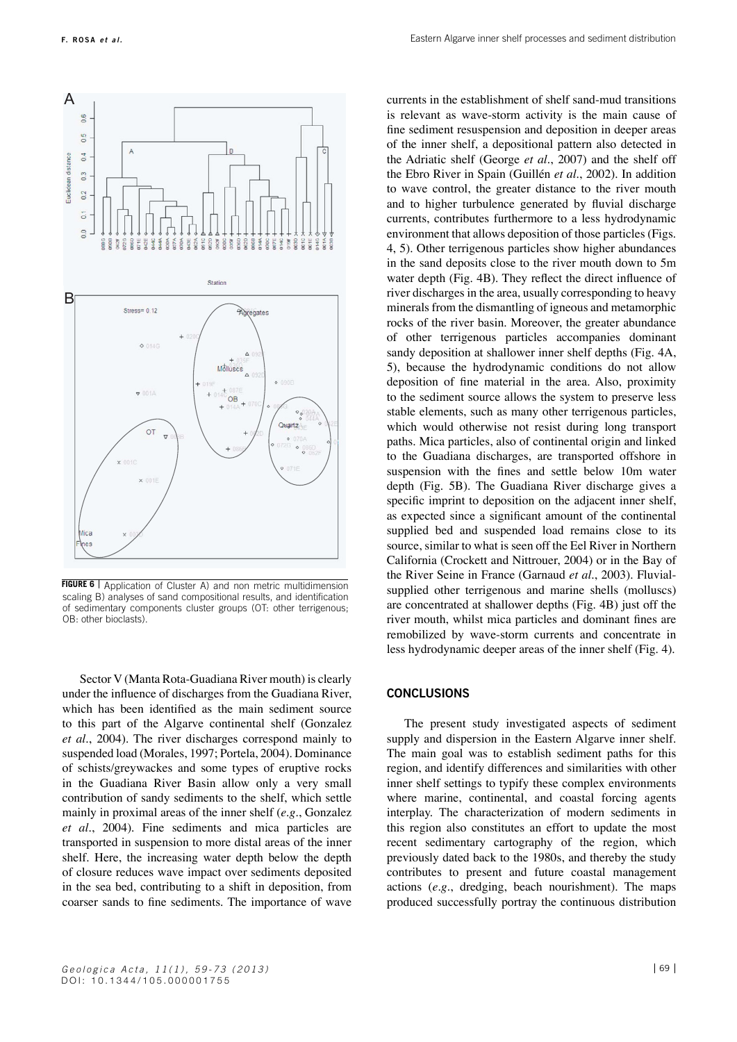

**FIGURE 6** | Application of Cluster A) and non metric multidimension scaling B) analyses of sand compositional results, and identification of sedimentary components cluster groups (OT: other terrigenous; OB: other bioclasts).

Sector V (Manta Rota-Guadiana River mouth) is clearly under the influence of discharges from the Guadiana River, which has been identified as the main sediment source to this part of the Algarve continental shelf (Gonzalez *et al.*, 2004). The river discharges correspond mainly to suspended load (Morales, 1997; Portela, 2004). Dominance of schists/greywackes and some types of eruptive rocks in the Guadiana River Basin allow only a very small contribution of sandy sediments to the shelf, which settle mainly in proximal areas of the inner shelf (*e.g.*, Gonzalez *et al.*, 2004). Fine sediments and mica particles are transported in suspension to more distal areas of the inner shelf. Here, the increasing water depth below the depth of closure reduces wave impact over sediments deposited in the sea bed, contributing to a shift in deposition, from coarser sands to fine sediments. The importance of wave

currents in the establishment of shelf sand-mud transitions is relevant as wave-storm activity is the main cause of fine sediment resuspension and deposition in deeper areas of the inner shelf, a depositional pattern also detected in the Adriatic shelf (George *et al.*, 2007) and the shelf off the Ebro River in Spain (Guillén *et al.*, 2002). In addition to wave control, the greater distance to the river mouth and to higher turbulence generated by fluvial discharge currents, contributes furthermore to a less hydrodynamic environment that allows deposition of those particles (Figs. 4, 5). Other terrigenous particles show higher abundances in the sand deposits close to the river mouth down to 5m water depth (Fig. 4B). They reflect the direct influence of river discharges in the area, usually corresponding to heavy minerals from the dismantling of igneous and metamorphic rocks of the river basin. Moreover, the greater abundance of other terrigenous particles accompanies dominant sandy deposition at shallower inner shelf depths (Fig. 4A, 5), because the hydrodynamic conditions do not allow deposition of fine material in the area. Also, proximity to the sediment source allows the system to preserve less stable elements, such as many other terrigenous particles, which would otherwise not resist during long transport paths. Mica particles, also of continental origin and linked to the Guadiana discharges, are transported offshore in suspension with the fines and settle below 10m water depth (Fig. 5B). The Guadiana River discharge gives a specific imprint to deposition on the adjacent inner shelf, as expected since a significant amount of the continental supplied bed and suspended load remains close to its source, similar to what is seen off the Eel River in Northern California (Crockett and Nittrouer, 2004) or in the Bay of the River Seine in France (Garnaud *et al.*, 2003). Fluvialsupplied other terrigenous and marine shells (molluscs) are concentrated at shallower depths (Fig. 4B) just off the river mouth, whilst mica particles and dominant fines are remobilized by wave-storm currents and concentrate in less hydrodynamic deeper areas of the inner shelf (Fig. 4).

#### **CONCLUSIONS**

The present study investigated aspects of sediment supply and dispersion in the Eastern Algarve inner shelf. The main goal was to establish sediment paths for this region, and identify differences and similarities with other inner shelf settings to typify these complex environments where marine, continental, and coastal forcing agents interplay. The characterization of modern sediments in this region also constitutes an effort to update the most recent sedimentary cartography of the region, which previously dated back to the 1980s, and thereby the study contributes to present and future coastal management actions (*e.g.*, dredging, beach nourishment). The maps produced successfully portray the continuous distribution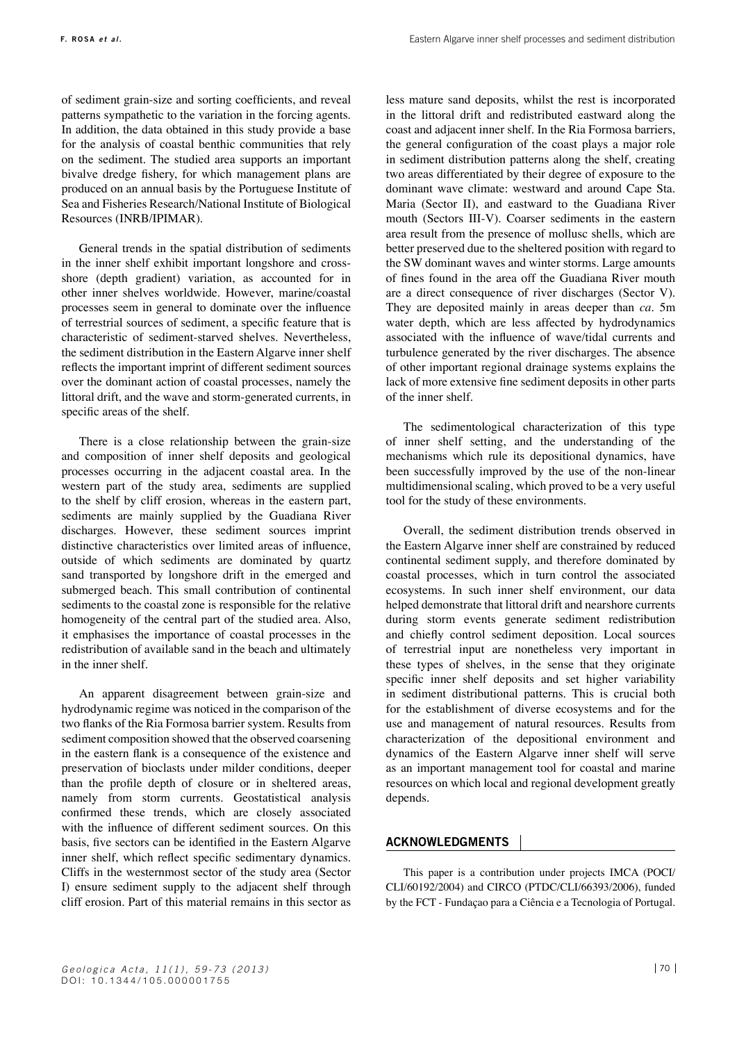of sediment grain-size and sorting coefficients, and reveal patterns sympathetic to the variation in the forcing agents. In addition, the data obtained in this study provide a base for the analysis of coastal benthic communities that rely on the sediment. The studied area supports an important bivalve dredge fishery, for which management plans are produced on an annual basis by the Portuguese Institute of Sea and Fisheries Research/National Institute of Biological Resources (INRB/IPIMAR).

General trends in the spatial distribution of sediments in the inner shelf exhibit important longshore and crossshore (depth gradient) variation, as accounted for in other inner shelves worldwide. However, marine/coastal processes seem in general to dominate over the influence of terrestrial sources of sediment, a specific feature that is characteristic of sediment-starved shelves. Nevertheless, the sediment distribution in the Eastern Algarve inner shelf reflects the important imprint of different sediment sources over the dominant action of coastal processes, namely the littoral drift, and the wave and storm-generated currents, in specific areas of the shelf.

There is a close relationship between the grain-size and composition of inner shelf deposits and geological processes occurring in the adjacent coastal area. In the western part of the study area, sediments are supplied to the shelf by cliff erosion, whereas in the eastern part, sediments are mainly supplied by the Guadiana River discharges. However, these sediment sources imprint distinctive characteristics over limited areas of influence, outside of which sediments are dominated by quartz sand transported by longshore drift in the emerged and submerged beach. This small contribution of continental sediments to the coastal zone is responsible for the relative homogeneity of the central part of the studied area. Also, it emphasises the importance of coastal processes in the redistribution of available sand in the beach and ultimately in the inner shelf.

An apparent disagreement between grain-size and hydrodynamic regime was noticed in the comparison of the two flanks of the Ria Formosa barrier system. Results from sediment composition showed that the observed coarsening in the eastern flank is a consequence of the existence and preservation of bioclasts under milder conditions, deeper than the profile depth of closure or in sheltered areas, namely from storm currents. Geostatistical analysis confirmed these trends, which are closely associated with the influence of different sediment sources. On this basis, five sectors can be identified in the Eastern Algarve inner shelf, which reflect specific sedimentary dynamics. Cliffs in the westernmost sector of the study area (Sector I) ensure sediment supply to the adjacent shelf through cliff erosion. Part of this material remains in this sector as

less mature sand deposits, whilst the rest is incorporated in the littoral drift and redistributed eastward along the coast and adjacent inner shelf. In the Ria Formosa barriers, the general configuration of the coast plays a major role in sediment distribution patterns along the shelf, creating two areas differentiated by their degree of exposure to the dominant wave climate: westward and around Cape Sta. Maria (Sector II), and eastward to the Guadiana River mouth (Sectors III-V). Coarser sediments in the eastern area result from the presence of mollusc shells, which are better preserved due to the sheltered position with regard to the SW dominant waves and winter storms. Large amounts of fines found in the area off the Guadiana River mouth are a direct consequence of river discharges (Sector V). They are deposited mainly in areas deeper than *ca.* 5m water depth, which are less affected by hydrodynamics associated with the influence of wave/tidal currents and turbulence generated by the river discharges. The absence of other important regional drainage systems explains the lack of more extensive fine sediment deposits in other parts of the inner shelf.

The sedimentological characterization of this type of inner shelf setting, and the understanding of the mechanisms which rule its depositional dynamics, have been successfully improved by the use of the non-linear multidimensional scaling, which proved to be a very useful tool for the study of these environments.

Overall, the sediment distribution trends observed in the Eastern Algarve inner shelf are constrained by reduced continental sediment supply, and therefore dominated by coastal processes, which in turn control the associated ecosystems. In such inner shelf environment, our data helped demonstrate that littoral drift and nearshore currents during storm events generate sediment redistribution and chiefly control sediment deposition. Local sources of terrestrial input are nonetheless very important in these types of shelves, in the sense that they originate specific inner shelf deposits and set higher variability in sediment distributional patterns. This is crucial both for the establishment of diverse ecosystems and for the use and management of natural resources. Results from characterization of the depositional environment and dynamics of the Eastern Algarve inner shelf will serve as an important management tool for coastal and marine resources on which local and regional development greatly depends.

## **ACKNOWLEDGMENTS**

This paper is a contribution under projects IMCA (POCI/ CLI/60192/2004) and CIRCO (PTDC/CLI/66393/2006), funded by the FCT - Fundaçao para a Ciência e a Tecnologia of Portugal.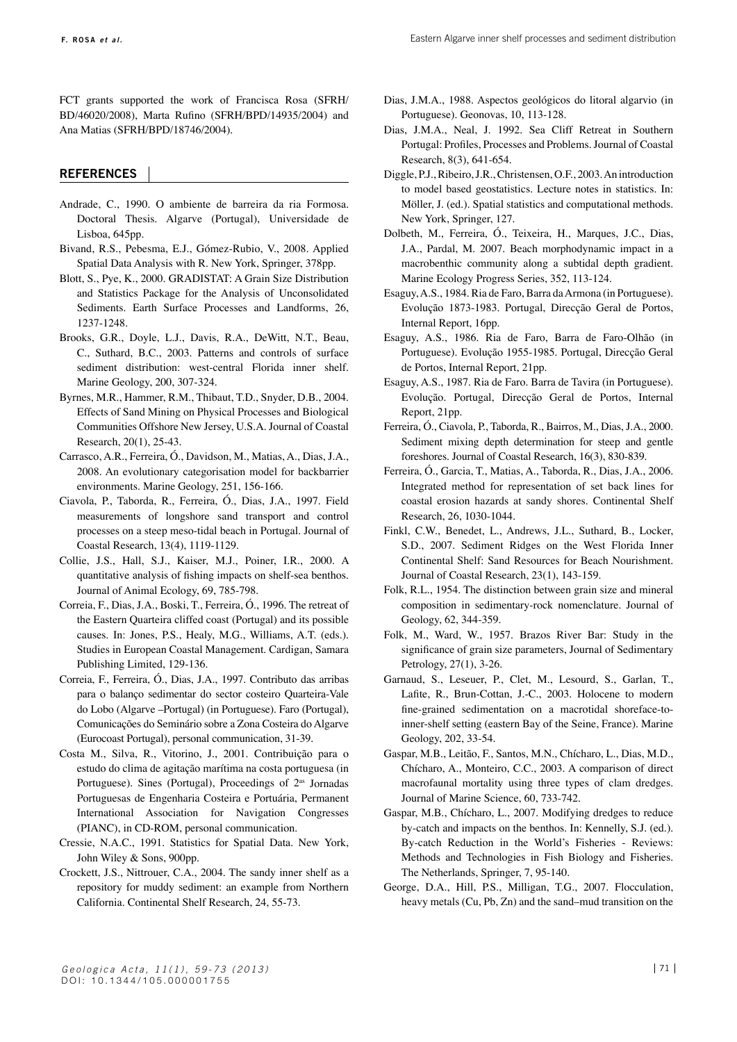FCT grants supported the work of Francisca Rosa (SFRH/ BD/46020/2008), Marta Rufino (SFRH/BPD/14935/2004) and Ana Matias (SFRH/BPD/18746/2004).

#### **REFERENCES**

- Andrade, C., 1990. O ambiente de barreira da ria Formosa. Doctoral Thesis. Algarve (Portugal), Universidade de Lisboa, 645pp.
- Bivand, R.S., Pebesma, E.J., Gómez-Rubio, V., 2008. Applied Spatial Data Analysis with R. New York, Springer, 378pp.
- Blott, S., Pye, K., 2000. GRADISTAT: A Grain Size Distribution and Statistics Package for the Analysis of Unconsolidated Sediments. Earth Surface Processes and Landforms, 26, 1237-1248.
- Brooks, G.R., Doyle, L.J., Davis, R.A., DeWitt, N.T., Beau, C., Suthard, B.C., 2003. Patterns and controls of surface sediment distribution: west-central Florida inner shelf. Marine Geology, 200, 307-324.
- Byrnes, M.R., Hammer, R.M., Thibaut, T.D., Snyder, D.B., 2004. Effects of Sand Mining on Physical Processes and Biological Communities Offshore New Jersey, U.S.A. Journal of Coastal Research, 20(1), 25-43.
- Carrasco, A.R., Ferreira, Ó., Davidson, M., Matias, A., Dias, J.A., 2008. An evolutionary categorisation model for backbarrier environments. Marine Geology, 251, 156-166.
- Ciavola, P., Taborda, R., Ferreira, Ó., Dias, J.A., 1997. Field measurements of longshore sand transport and control processes on a steep meso-tidal beach in Portugal. Journal of Coastal Research, 13(4), 1119-1129.
- Collie, J.S., Hall, S.J., Kaiser, M.J., Poiner, I.R., 2000. A quantitative analysis of fishing impacts on shelf-sea benthos. Journal of Animal Ecology, 69, 785-798.
- Correia, F., Dias, J.A., Boski, T., Ferreira, Ó., 1996. The retreat of the Eastern Quarteira cliffed coast (Portugal) and its possible causes. In: Jones, P.S., Healy, M.G., Williams, A.T. (eds.). Studies in European Coastal Management. Cardigan, Samara Publishing Limited, 129-136.
- Correia, F., Ferreira, Ó., Dias, J.A., 1997. Contributo das arribas para o balanço sedimentar do sector costeiro Quarteira-Vale do Lobo (Algarve –Portugal) (in Portuguese). Faro (Portugal), Comunicações do Seminário sobre a Zona Costeira do Algarve (Eurocoast Portugal), personal communication, 31-39.
- Costa M., Silva, R., Vitorino, J., 2001. Contribuição para o estudo do clima de agitação marítima na costa portuguesa (in Portuguese). Sines (Portugal), Proceedings of 2<sup>as</sup> Jornadas Portuguesas de Engenharia Costeira e Portuária, Permanent International Association for Navigation Congresses (PIANC), in CD-ROM, personal communication.
- Cressie, N.A.C., 1991. Statistics for Spatial Data. New York, John Wiley & Sons, 900pp.
- Crockett, J.S., Nittrouer, C.A., 2004. The sandy inner shelf as a repository for muddy sediment: an example from Northern California. Continental Shelf Research, 24, 55-73.
- Dias, J.M.A., 1988. Aspectos geológicos do litoral algarvio (in Portuguese). Geonovas, 10, 113-128.
- Dias, J.M.A., Neal, J. 1992. Sea Cliff Retreat in Southern Portugal: Profiles, Processes and Problems. Journal of Coastal Research, 8(3), 641-654.
- Diggle, P.J., Ribeiro, J.R., Christensen, O.F., 2003. An introduction to model based geostatistics. Lecture notes in statistics. In: Möller, J. (ed.). Spatial statistics and computational methods. New York, Springer, 127.
- Dolbeth, M., Ferreira, Ó., Teixeira, H., Marques, J.C., Dias, J.A., Pardal, M. 2007. Beach morphodynamic impact in a macrobenthic community along a subtidal depth gradient. Marine Ecology Progress Series, 352, 113-124.
- Esaguy, A.S., 1984. Ria de Faro, Barra da Armona (in Portuguese). Evolução 1873-1983. Portugal, Direcção Geral de Portos, Internal Report, 16pp.
- Esaguy, A.S., 1986. Ria de Faro, Barra de Faro-Olhão (in Portuguese). Evolução 1955-1985. Portugal, Direcção Geral de Portos, Internal Report, 21pp.
- Esaguy, A.S., 1987. Ria de Faro. Barra de Tavira (in Portuguese). Evolução. Portugal, Direcção Geral de Portos, Internal Report, 21pp.
- Ferreira, Ó., Ciavola, P., Taborda, R., Bairros, M., Dias, J.A., 2000. Sediment mixing depth determination for steep and gentle foreshores. Journal of Coastal Research, 16(3), 830-839.
- Ferreira, Ó., Garcia, T., Matias, A., Taborda, R., Dias, J.A., 2006. Integrated method for representation of set back lines for coastal erosion hazards at sandy shores. Continental Shelf Research, 26, 1030-1044.
- Finkl, C.W., Benedet, L., Andrews, J.L., Suthard, B., Locker, S.D., 2007. Sediment Ridges on the West Florida Inner Continental Shelf: Sand Resources for Beach Nourishment. Journal of Coastal Research, 23(1), 143-159.
- Folk, R.L., 1954. The distinction between grain size and mineral composition in sedimentary-rock nomenclature. Journal of Geology, 62, 344-359.
- Folk, M., Ward, W., 1957. Brazos River Bar: Study in the significance of grain size parameters, Journal of Sedimentary Petrology, 27(1), 3-26.
- Garnaud, S., Leseuer, P., Clet, M., Lesourd, S., Garlan, T., Lafite, R., Brun-Cottan, J.-C., 2003. Holocene to modern fine-grained sedimentation on a macrotidal shoreface-toinner-shelf setting (eastern Bay of the Seine, France). Marine Geology, 202, 33-54.
- Gaspar, M.B., Leitão, F., Santos, M.N., Chícharo, L., Dias, M.D., Chícharo, A., Monteiro, C.C., 2003. A comparison of direct macrofaunal mortality using three types of clam dredges. Journal of Marine Science, 60, 733-742.
- Gaspar, M.B., Chícharo, L., 2007. Modifying dredges to reduce by-catch and impacts on the benthos. In: Kennelly, S.J. (ed.). By-catch Reduction in the World's Fisheries - Reviews: Methods and Technologies in Fish Biology and Fisheries. The Netherlands, Springer, 7, 95-140.
- George, D.A., Hill, P.S., Milligan, T.G., 2007. Flocculation, heavy metals (Cu, Pb, Zn) and the sand–mud transition on the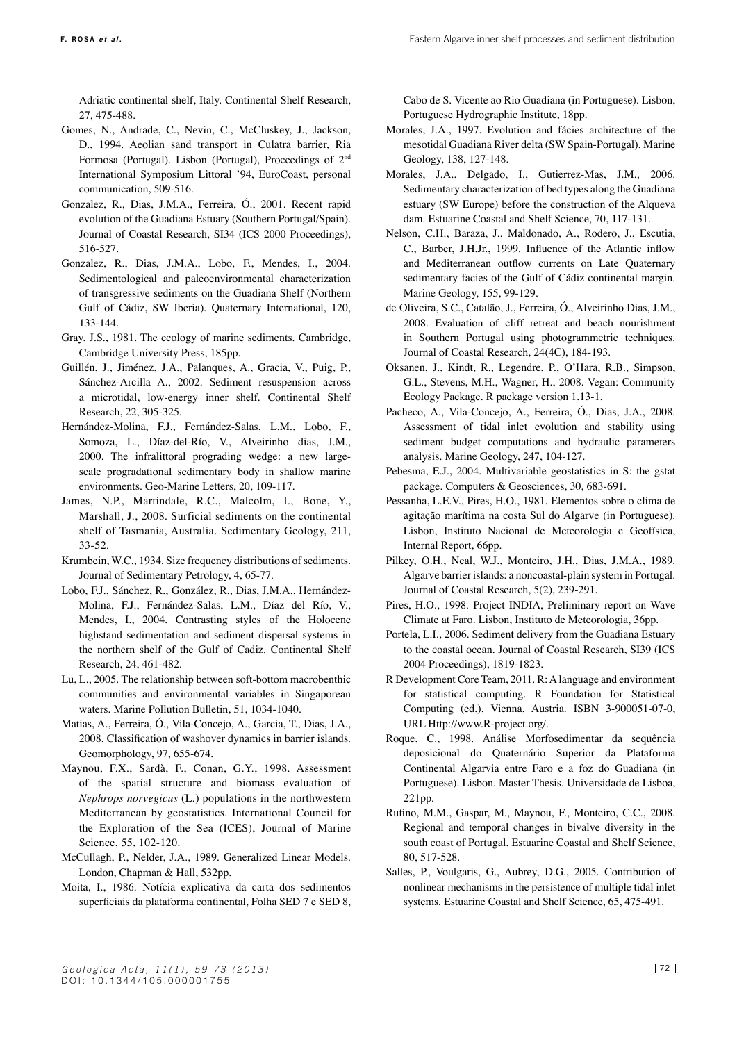Adriatic continental shelf, Italy. Continental Shelf Research, 27, 475-488.

- Gomes, N., Andrade, C., Nevin, C., McCluskey, J., Jackson, D., 1994. Aeolian sand transport in Culatra barrier, Ria Formosa (Portugal). Lisbon (Portugal), Proceedings of 2nd International Symposium Littoral '94, EuroCoast, personal communication, 509-516.
- Gonzalez, R., Dias, J.M.A., Ferreira, Ó., 2001. Recent rapid evolution of the Guadiana Estuary (Southern Portugal/Spain). Journal of Coastal Research, SI34 (ICS 2000 Proceedings), 516-527.
- Gonzalez, R., Dias, J.M.A., Lobo, F., Mendes, I., 2004. Sedimentological and paleoenvironmental characterization of transgressive sediments on the Guadiana Shelf (Northern Gulf of Cádiz, SW Iberia). Quaternary International, 120, 133-144.
- Gray, J.S., 1981. The ecology of marine sediments. Cambridge, Cambridge University Press, 185pp.
- Guillén, J., Jiménez, J.A., Palanques, A., Gracia, V., Puig, P., Sánchez-Arcilla A., 2002. Sediment resuspension across a microtidal, low-energy inner shelf. Continental Shelf Research, 22, 305-325.
- Hernández-Molina, F.J., Fernández-Salas, L.M., Lobo, F., Somoza, L., Díaz-del-Río, V., Alveirinho dias, J.M., 2000. The infralittoral prograding wedge: a new largescale progradational sedimentary body in shallow marine environments. Geo-Marine Letters, 20, 109-117.
- James, N.P., Martindale, R.C., Malcolm, I., Bone, Y., Marshall, J., 2008. Surficial sediments on the continental shelf of Tasmania, Australia. Sedimentary Geology, 211, 33-52.
- Krumbein, W.C., 1934. Size frequency distributions of sediments. Journal of Sedimentary Petrology, 4, 65-77.
- Lobo, F.J., Sánchez, R., González, R., Dias, J.M.A., Hernández-Molina, F.J., Fernández-Salas, L.M., Díaz del Río, V., Mendes, I., 2004. Contrasting styles of the Holocene highstand sedimentation and sediment dispersal systems in the northern shelf of the Gulf of Cadiz. Continental Shelf Research, 24, 461-482.
- Lu, L., 2005. The relationship between soft-bottom macrobenthic communities and environmental variables in Singaporean waters. Marine Pollution Bulletin, 51, 1034-1040.
- Matias, A., Ferreira, Ó., Vila-Concejo, A., Garcia, T., Dias, J.A., 2008. Classification of washover dynamics in barrier islands. Geomorphology, 97, 655-674.
- Maynou, F.X., Sardà, F., Conan, G.Y., 1998. Assessment of the spatial structure and biomass evaluation of *Nephrops norvegicus* (L.) populations in the northwestern Mediterranean by geostatistics. International Council for the Exploration of the Sea (ICES), Journal of Marine Science, 55, 102-120.
- McCullagh, P., Nelder, J.A., 1989. Generalized Linear Models. London, Chapman & Hall, 532pp.
- Moita, I., 1986. Notícia explicativa da carta dos sedimentos superficiais da plataforma continental, Folha SED 7 e SED 8,

Cabo de S. Vicente ao Rio Guadiana (in Portuguese). Lisbon, Portuguese Hydrographic Institute, 18pp.

- Morales, J.A., 1997. Evolution and fácies architecture of the mesotidal Guadiana River delta (SW Spain-Portugal). Marine Geology, 138, 127-148.
- Morales, J.A., Delgado, I., Gutierrez-Mas, J.M., 2006. Sedimentary characterization of bed types along the Guadiana estuary (SW Europe) before the construction of the Alqueva dam. Estuarine Coastal and Shelf Science, 70, 117-131.
- Nelson, C.H., Baraza, J., Maldonado, A., Rodero, J., Escutia, C., Barber, J.H.Jr., 1999. Influence of the Atlantic inflow and Mediterranean outflow currents on Late Quaternary sedimentary facies of the Gulf of Cádiz continental margin. Marine Geology, 155, 99-129.
- de Oliveira, S.C., Catalão, J., Ferreira, Ó., Alveirinho Dias, J.M., 2008. Evaluation of cliff retreat and beach nourishment in Southern Portugal using photogrammetric techniques. Journal of Coastal Research, 24(4C), 184-193.
- Oksanen, J., Kindt, R., Legendre, P., O'Hara, R.B., Simpson, G.L., Stevens, M.H., Wagner, H., 2008. Vegan: Community Ecology Package. R package version 1.13-1.
- Pacheco, A., Vila-Concejo, A., Ferreira, Ó., Dias, J.A., 2008. Assessment of tidal inlet evolution and stability using sediment budget computations and hydraulic parameters analysis. Marine Geology, 247, 104-127.
- Pebesma, E.J., 2004. Multivariable geostatistics in S: the gstat package. Computers & Geosciences, 30, 683-691.
- Pessanha, L.E.V., Pires, H.O., 1981. Elementos sobre o clima de agitação marítima na costa Sul do Algarve (in Portuguese). Lisbon, Instituto Nacional de Meteorologia e Geofísica, Internal Report, 66pp.
- Pilkey, O.H., Neal, W.J., Monteiro, J.H., Dias, J.M.A., 1989. Algarve barrier islands: a noncoastal-plain system in Portugal. Journal of Coastal Research, 5(2), 239-291.
- Pires, H.O., 1998. Project INDIA, Preliminary report on Wave Climate at Faro. Lisbon, Instituto de Meteorologia, 36pp.
- Portela, L.I., 2006. Sediment delivery from the Guadiana Estuary to the coastal ocean. Journal of Coastal Research, SI39 (ICS 2004 Proceedings), 1819-1823.
- R Development Core Team, 2011. R: A language and environment for statistical computing. R Foundation for Statistical Computing (ed.), Vienna, Austria. ISBN 3-900051-07-0, URL Http://www.R-project.org/.
- Roque, C., 1998. Análise Morfosedimentar da sequência deposicional do Quaternário Superior da Plataforma Continental Algarvia entre Faro e a foz do Guadiana (in Portuguese). Lisbon. Master Thesis. Universidade de Lisboa, 221pp.
- Rufino, M.M., Gaspar, M., Maynou, F., Monteiro, C.C., 2008. Regional and temporal changes in bivalve diversity in the south coast of Portugal. Estuarine Coastal and Shelf Science, 80, 517-528.
- Salles, P., Voulgaris, G., Aubrey, D.G., 2005. Contribution of nonlinear mechanisms in the persistence of multiple tidal inlet systems. Estuarine Coastal and Shelf Science, 65, 475-491.